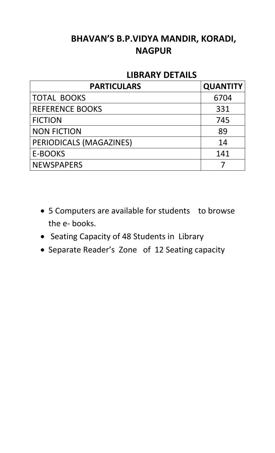# **BHAVAN'S B.P.VIDYA MANDIR, KORADI, NAGPUR**

## **LIBRARY DETAILS**

| <b>PARTICULARS</b>      | <b>QUANTITY</b> |
|-------------------------|-----------------|
| <b>TOTAL BOOKS</b>      | 6704            |
| <b>REFERENCE BOOKS</b>  | 331             |
| <b>FICTION</b>          | 745             |
| <b>NON FICTION</b>      | 89              |
| PERIODICALS (MAGAZINES) | 14              |
| <b>E-BOOKS</b>          | 141             |
| <b>NEWSPAPERS</b>       |                 |

- 5 Computers are available for students to browse the e- books.
- Seating Capacity of 48 Students in Library
- Separate Reader's Zone of 12 Seating capacity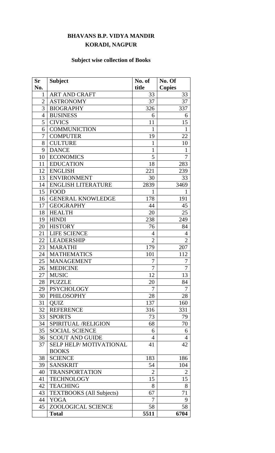#### **BHAVANS B.P. VIDYA MANDIR KORADI, NAGPUR**

### **Subject wise collection of Books**

| <b>Sr</b>    | <b>Subject</b>                  | No. of         | No. Of         |
|--------------|---------------------------------|----------------|----------------|
| No.          |                                 | title          | <b>Copies</b>  |
| $\mathbf{1}$ | <b>ART AND CRAFT</b>            | 33             | 33             |
| 2            | <b>ASTRONOMY</b>                | 37             | 37             |
| 3            | <b>BIOGRAPHY</b>                | 326            | 337            |
| 4            | <b>BUSINESS</b>                 | 6              | 6              |
| 5            | <b>CIVICS</b>                   | 11             | 15             |
| 6            | <b>COMMUNICTION</b>             | $\mathbf{1}$   | $\mathbf{1}$   |
| 7            | <b>COMPUTER</b>                 | 19             | 22             |
| 8            | <b>CULTURE</b>                  | $\mathbf{1}$   | 10             |
| 9            | <b>DANCE</b>                    | $\mathbf{1}$   | 1              |
| 10           | <b>ECONOMICS</b>                | 5              | 7              |
| 11           | <b>EDUCATION</b>                | 18             | 283            |
| 12           | <b>ENGLISH</b>                  | 221            | 239            |
| 13           | <b>ENVIRONMENT</b>              | 30             | 33             |
| 14           | <b>ENGLISH LITERATURE</b>       | 2839           | 3469           |
| 15           | <b>FOOD</b>                     | $\mathbf{1}$   | $\mathbf{1}$   |
| 16           | <b>GENERAL KNOWLEDGE</b>        | 178            | 191            |
| 17           | <b>GEOGRAPHY</b>                | 44             | 45             |
| 18           | <b>HEALTH</b>                   | 20             | 25             |
| 19           | <b>HINDI</b>                    | 238            | 249            |
| 20           | <b>HISTORY</b>                  | 76             | 84             |
| 21           | <b>LIFE SCIENCE</b>             | $\overline{4}$ | $\overline{4}$ |
| 22           | LEADERSHIP                      | $\overline{2}$ | $\overline{2}$ |
| 23           | <b>MARATHI</b>                  | 179            | 207            |
| 24           | <b>MATHEMATICS</b>              | 101            | 112            |
| 25           | <b>MANAGEMENT</b>               | 7              | 7              |
| 26           | <b>MEDICINE</b>                 | 7              | 7              |
| 27           | <b>MUSIC</b>                    | 12             | 13             |
| 28           | <b>PUZZLE</b>                   | 20             | 84             |
| 29           | <b>PSYCHOLOGY</b>               | 7              | 7              |
| 30           | <b>PHILOSOPHY</b>               | 28             | 28             |
| 31           | <b>OUIZ</b>                     | 137            | 160            |
| 32           | <b>REFERENCE</b>                | 316            | 331            |
| 33           | <b>SPORTS</b>                   | 73             | 79             |
| 34           | SPIRITUAL /RELIGION             | 68             | 70             |
| 35           | <b>SOCIAL SCIENCE</b>           | 6              | 6              |
| 36           | <b>SCOUT AND GUIDE</b>          | $\overline{4}$ | $\overline{4}$ |
| 37           | <b>SELP HELP/MOTIVATIONAL</b>   | 41             | 42             |
|              | <b>BOOKS</b>                    |                |                |
| 38           | <b>SCIENCE</b>                  | 183            | 186            |
| 39           | <b>SANSKRIT</b>                 | 54             | 104            |
| 40           | <b>TRANSPORTATION</b>           | $\overline{2}$ | $\overline{2}$ |
| 41           | <b>TECHNOLOGY</b>               | 15             | 15             |
| 42           | <b>TEACHING</b>                 | 8              | 8              |
| 43           | <b>TEXTBOOKS</b> (All Subjects) | 67             | 71             |
| 44           | <b>YOGA</b>                     | 7              | 9              |
| 45           | <b>ZOOLOGICAL SCIENCE</b>       | 58             | 58             |
|              | <b>Total</b>                    | 5511           | 6704           |